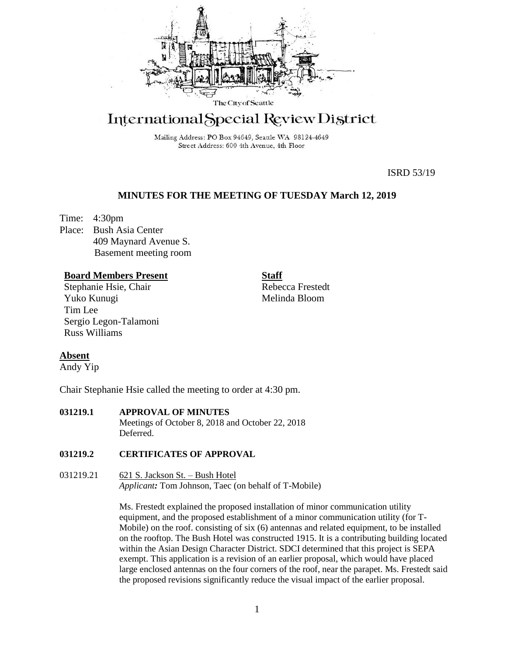

# International Special Review District

Mailing Address: PO Box 94649, Seattle WA 98124-4649 Street Address: 600 4th Avenue, 4th Floor

ISRD 53/19

# **MINUTES FOR THE MEETING OF TUESDAY March 12, 2019**

Time: 4:30pm Place: Bush Asia Center 409 Maynard Avenue S. Basement meeting room

### **Board Members Present**

Stephanie Hsie, Chair Yuko Kunugi Tim Lee Sergio Legon-Talamoni Russ Williams

Rebecca Frestedt Melinda Bloom

**Staff**

# **Absent**

Andy Yip

Chair Stephanie Hsie called the meeting to order at 4:30 pm.

## **031219.1 APPROVAL OF MINUTES**

Meetings of October 8, 2018 and October 22, 2018 Deferred.

#### **031219.2 CERTIFICATES OF APPROVAL**

031219.21 621 S. Jackson St. – Bush Hotel *Applicant:* Tom Johnson, Taec (on behalf of T-Mobile)

> Ms. Frestedt explained the proposed installation of minor communication utility equipment, and the proposed establishment of a minor communication utility (for T-Mobile) on the roof. consisting of six (6) antennas and related equipment, to be installed on the rooftop. The Bush Hotel was constructed 1915. It is a contributing building located within the Asian Design Character District. SDCI determined that this project is SEPA exempt. This application is a revision of an earlier proposal, which would have placed large enclosed antennas on the four corners of the roof, near the parapet. Ms. Frestedt said the proposed revisions significantly reduce the visual impact of the earlier proposal.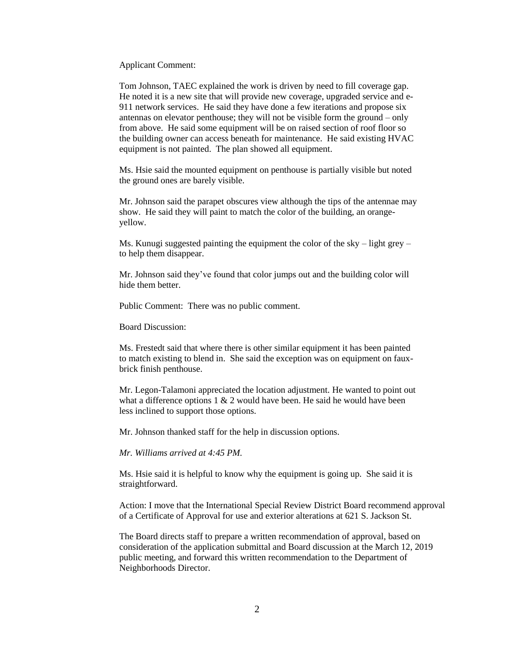Applicant Comment:

Tom Johnson, TAEC explained the work is driven by need to fill coverage gap. He noted it is a new site that will provide new coverage, upgraded service and e-911 network services. He said they have done a few iterations and propose six antennas on elevator penthouse; they will not be visible form the ground – only from above. He said some equipment will be on raised section of roof floor so the building owner can access beneath for maintenance. He said existing HVAC equipment is not painted. The plan showed all equipment.

Ms. Hsie said the mounted equipment on penthouse is partially visible but noted the ground ones are barely visible.

Mr. Johnson said the parapet obscures view although the tips of the antennae may show. He said they will paint to match the color of the building, an orangeyellow.

Ms. Kunugi suggested painting the equipment the color of the sky – light grey – to help them disappear.

Mr. Johnson said they've found that color jumps out and the building color will hide them better.

Public Comment: There was no public comment.

Board Discussion:

Ms. Frestedt said that where there is other similar equipment it has been painted to match existing to blend in. She said the exception was on equipment on fauxbrick finish penthouse.

Mr. Legon-Talamoni appreciated the location adjustment. He wanted to point out what a difference options  $1 \& 2$  would have been. He said he would have been less inclined to support those options.

Mr. Johnson thanked staff for the help in discussion options.

*Mr. Williams arrived at 4:45 PM.*

Ms. Hsie said it is helpful to know why the equipment is going up. She said it is straightforward.

Action: I move that the International Special Review District Board recommend approval of a Certificate of Approval for use and exterior alterations at 621 S. Jackson St.

The Board directs staff to prepare a written recommendation of approval, based on consideration of the application submittal and Board discussion at the March 12, 2019 public meeting, and forward this written recommendation to the Department of Neighborhoods Director.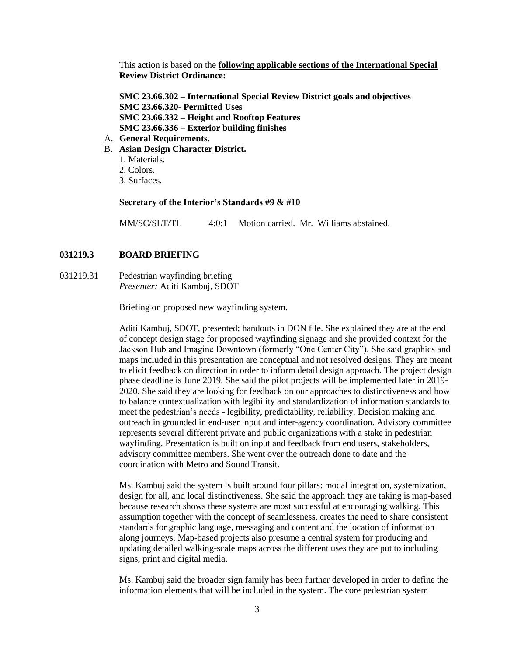This action is based on the **following applicable sections of the International Special Review District Ordinance:** 

**SMC 23.66.302 – International Special Review District goals and objectives SMC 23.66.320- Permitted Uses SMC 23.66.332 – Height and Rooftop Features SMC 23.66.336 – Exterior building finishes**

- A. **General Requirements.**
- B. **Asian Design Character District.** 
	- 1. Materials.
	- 2. Colors.
	- 3. Surfaces.

#### **Secretary of the Interior's Standards #9 & #10**

MM/SC/SLT/TL 4:0:1 Motion carried. Mr. Williams abstained.

#### **031219.3 BOARD BRIEFING**

031219.31 Pedestrian wayfinding briefing *Presenter:* Aditi Kambuj, SDOT

Briefing on proposed new wayfinding system.

Aditi Kambuj, SDOT, presented; handouts in DON file. She explained they are at the end of concept design stage for proposed wayfinding signage and she provided context for the Jackson Hub and Imagine Downtown (formerly "One Center City"). She said graphics and maps included in this presentation are conceptual and not resolved designs. They are meant to elicit feedback on direction in order to inform detail design approach. The project design phase deadline is June 2019. She said the pilot projects will be implemented later in 2019- 2020. She said they are looking for feedback on our approaches to distinctiveness and how to balance contextualization with legibility and standardization of information standards to meet the pedestrian's needs - legibility, predictability, reliability. Decision making and outreach in grounded in end-user input and inter-agency coordination. Advisory committee represents several different private and public organizations with a stake in pedestrian wayfinding. Presentation is built on input and feedback from end users, stakeholders, advisory committee members. She went over the outreach done to date and the coordination with Metro and Sound Transit.

Ms. Kambuj said the system is built around four pillars: modal integration, systemization, design for all, and local distinctiveness. She said the approach they are taking is map-based because research shows these systems are most successful at encouraging walking. This assumption together with the concept of seamlessness, creates the need to share consistent standards for graphic language, messaging and content and the location of information along journeys. Map-based projects also presume a central system for producing and updating detailed walking-scale maps across the different uses they are put to including signs, print and digital media.

Ms. Kambuj said the broader sign family has been further developed in order to define the information elements that will be included in the system. The core pedestrian system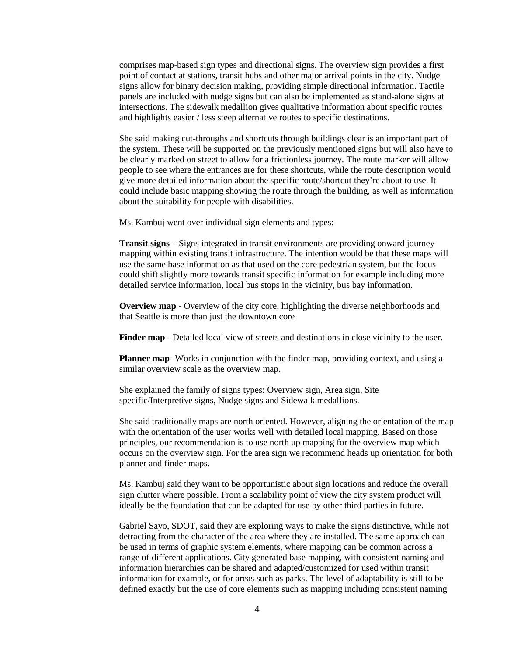comprises map-based sign types and directional signs. The overview sign provides a first point of contact at stations, transit hubs and other major arrival points in the city. Nudge signs allow for binary decision making, providing simple directional information. Tactile panels are included with nudge signs but can also be implemented as stand-alone signs at intersections. The sidewalk medallion gives qualitative information about specific routes and highlights easier / less steep alternative routes to specific destinations.

She said making cut-throughs and shortcuts through buildings clear is an important part of the system. These will be supported on the previously mentioned signs but will also have to be clearly marked on street to allow for a frictionless journey. The route marker will allow people to see where the entrances are for these shortcuts, while the route description would give more detailed information about the specific route/shortcut they're about to use. It could include basic mapping showing the route through the building, as well as information about the suitability for people with disabilities.

Ms. Kambuj went over individual sign elements and types:

**Transit signs –** Signs integrated in transit environments are providing onward journey mapping within existing transit infrastructure. The intention would be that these maps will use the same base information as that used on the core pedestrian system, but the focus could shift slightly more towards transit specific information for example including more detailed service information, local bus stops in the vicinity, bus bay information.

**Overview map -** Overview of the city core, highlighting the diverse neighborhoods and that Seattle is more than just the downtown core

**Finder map -** Detailed local view of streets and destinations in close vicinity to the user.

**Planner map-** Works in conjunction with the finder map, providing context, and using a similar overview scale as the overview map.

She explained the family of signs types: Overview sign, Area sign, Site specific/Interpretive signs, Nudge signs and Sidewalk medallions.

She said traditionally maps are north oriented. However, aligning the orientation of the map with the orientation of the user works well with detailed local mapping. Based on those principles, our recommendation is to use north up mapping for the overview map which occurs on the overview sign. For the area sign we recommend heads up orientation for both planner and finder maps.

Ms. Kambuj said they want to be opportunistic about sign locations and reduce the overall sign clutter where possible. From a scalability point of view the city system product will ideally be the foundation that can be adapted for use by other third parties in future.

Gabriel Sayo, SDOT, said they are exploring ways to make the signs distinctive, while not detracting from the character of the area where they are installed. The same approach can be used in terms of graphic system elements, where mapping can be common across a range of different applications. City generated base mapping, with consistent naming and information hierarchies can be shared and adapted/customized for used within transit information for example, or for areas such as parks. The level of adaptability is still to be defined exactly but the use of core elements such as mapping including consistent naming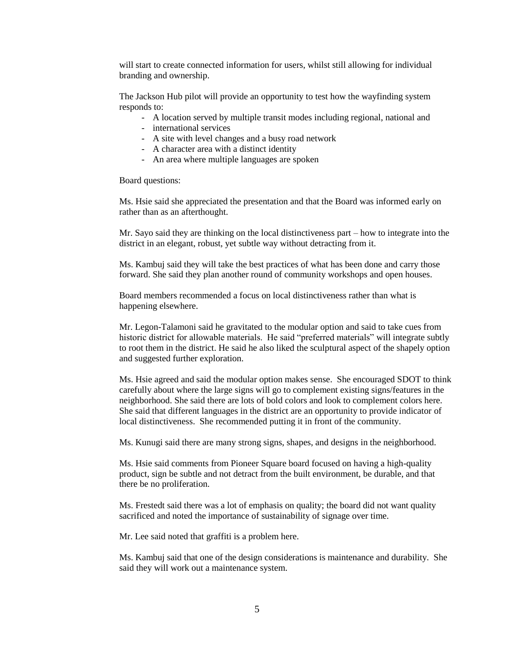will start to create connected information for users, whilst still allowing for individual branding and ownership.

The Jackson Hub pilot will provide an opportunity to test how the wayfinding system responds to:

- A location served by multiple transit modes including regional, national and
- international services
- A site with level changes and a busy road network
- A character area with a distinct identity
- An area where multiple languages are spoken

Board questions:

Ms. Hsie said she appreciated the presentation and that the Board was informed early on rather than as an afterthought.

Mr. Sayo said they are thinking on the local distinctiveness part – how to integrate into the district in an elegant, robust, yet subtle way without detracting from it.

Ms. Kambuj said they will take the best practices of what has been done and carry those forward. She said they plan another round of community workshops and open houses.

Board members recommended a focus on local distinctiveness rather than what is happening elsewhere.

Mr. Legon-Talamoni said he gravitated to the modular option and said to take cues from historic district for allowable materials. He said "preferred materials" will integrate subtly to root them in the district. He said he also liked the sculptural aspect of the shapely option and suggested further exploration.

Ms. Hsie agreed and said the modular option makes sense. She encouraged SDOT to think carefully about where the large signs will go to complement existing signs/features in the neighborhood. She said there are lots of bold colors and look to complement colors here. She said that different languages in the district are an opportunity to provide indicator of local distinctiveness. She recommended putting it in front of the community.

Ms. Kunugi said there are many strong signs, shapes, and designs in the neighborhood.

Ms. Hsie said comments from Pioneer Square board focused on having a high-quality product, sign be subtle and not detract from the built environment, be durable, and that there be no proliferation.

Ms. Frestedt said there was a lot of emphasis on quality; the board did not want quality sacrificed and noted the importance of sustainability of signage over time.

Mr. Lee said noted that graffiti is a problem here.

Ms. Kambuj said that one of the design considerations is maintenance and durability. She said they will work out a maintenance system.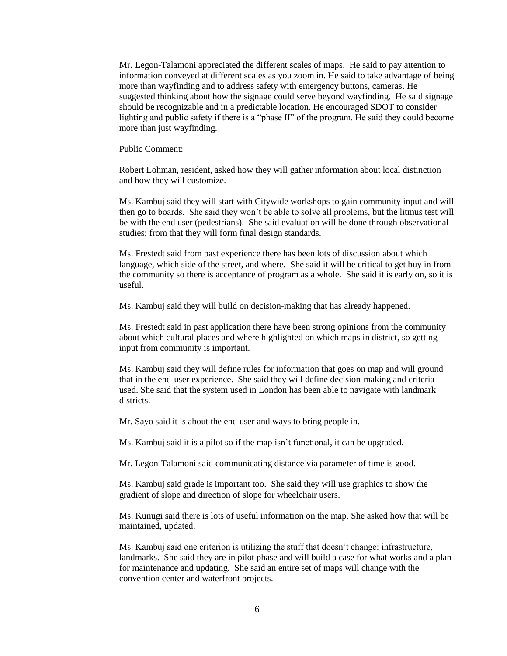Mr. Legon-Talamoni appreciated the different scales of maps. He said to pay attention to information conveyed at different scales as you zoom in. He said to take advantage of being more than wayfinding and to address safety with emergency buttons, cameras. He suggested thinking about how the signage could serve beyond wayfinding. He said signage should be recognizable and in a predictable location. He encouraged SDOT to consider lighting and public safety if there is a "phase II" of the program. He said they could become more than just wayfinding.

Public Comment:

Robert Lohman, resident, asked how they will gather information about local distinction and how they will customize.

Ms. Kambuj said they will start with Citywide workshops to gain community input and will then go to boards. She said they won't be able to solve all problems, but the litmus test will be with the end user (pedestrians). She said evaluation will be done through observational studies; from that they will form final design standards.

Ms. Frestedt said from past experience there has been lots of discussion about which language, which side of the street, and where. She said it will be critical to get buy in from the community so there is acceptance of program as a whole. She said it is early on, so it is useful.

Ms. Kambuj said they will build on decision-making that has already happened.

Ms. Frestedt said in past application there have been strong opinions from the community about which cultural places and where highlighted on which maps in district, so getting input from community is important.

Ms. Kambuj said they will define rules for information that goes on map and will ground that in the end-user experience. She said they will define decision-making and criteria used. She said that the system used in London has been able to navigate with landmark districts.

Mr. Sayo said it is about the end user and ways to bring people in.

Ms. Kambuj said it is a pilot so if the map isn't functional, it can be upgraded.

Mr. Legon-Talamoni said communicating distance via parameter of time is good.

Ms. Kambuj said grade is important too. She said they will use graphics to show the gradient of slope and direction of slope for wheelchair users.

Ms. Kunugi said there is lots of useful information on the map. She asked how that will be maintained, updated.

Ms. Kambuj said one criterion is utilizing the stuff that doesn't change: infrastructure, landmarks. She said they are in pilot phase and will build a case for what works and a plan for maintenance and updating. She said an entire set of maps will change with the convention center and waterfront projects.